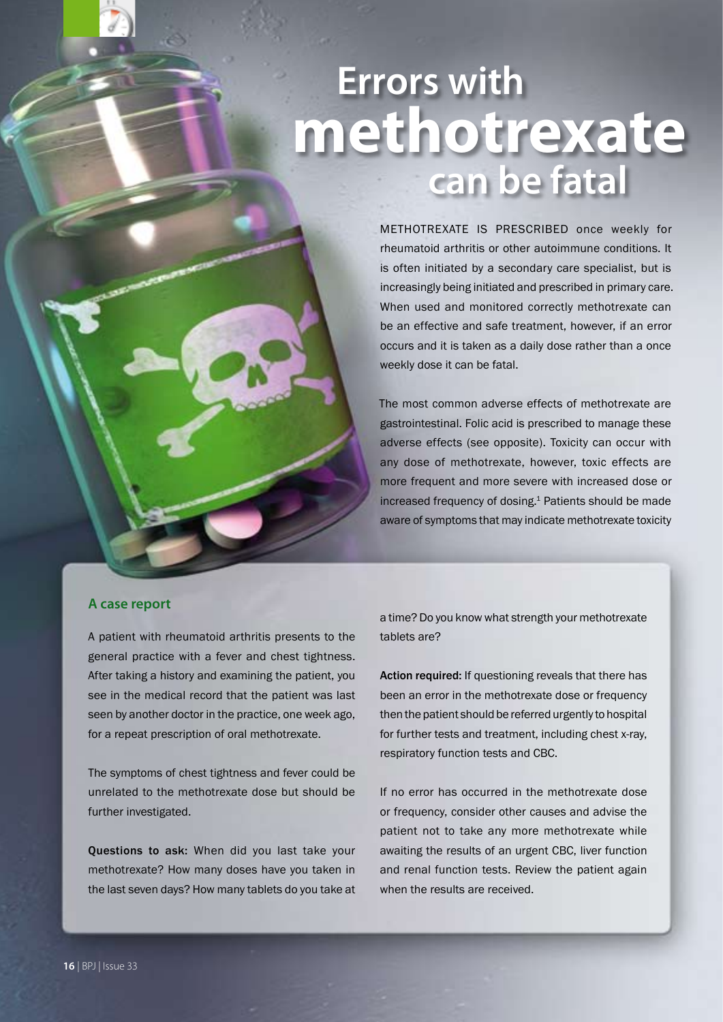# **Errors with methotrexate can be fatal**

METHOTREXATE IS PRESCRIBED once weekly for rheumatoid arthritis or other autoimmune conditions. It is often initiated by a secondary care specialist, but is increasingly being initiated and prescribed in primary care. When used and monitored correctly methotrexate can be an effective and safe treatment, however, if an error occurs and it is taken as a daily dose rather than a once weekly dose it can be fatal.

The most common adverse effects of methotrexate are gastrointestinal. Folic acid is prescribed to manage these adverse effects (see opposite). Toxicity can occur with any dose of methotrexate, however, toxic effects are more frequent and more severe with increased dose or increased frequency of dosing.<sup>1</sup> Patients should be made aware of symptoms that may indicate methotrexate toxicity

### **A case report**

A patient with rheumatoid arthritis presents to the general practice with a fever and chest tightness. After taking a history and examining the patient, you see in the medical record that the patient was last seen by another doctor in the practice, one week ago, for a repeat prescription of oral methotrexate.

The symptoms of chest tightness and fever could be unrelated to the methotrexate dose but should be further investigated.

Questions to ask: When did you last take your methotrexate? How many doses have you taken in the last seven days? How many tablets do you take at a time? Do you know what strength your methotrexate tablets are?

Action required: If questioning reveals that there has been an error in the methotrexate dose or frequency then the patient should be referred urgently to hospital for further tests and treatment, including chest x-ray, respiratory function tests and CBC.

If no error has occurred in the methotrexate dose or frequency, consider other causes and advise the patient not to take any more methotrexate while awaiting the results of an urgent CBC, liver function and renal function tests. Review the patient again when the results are received.